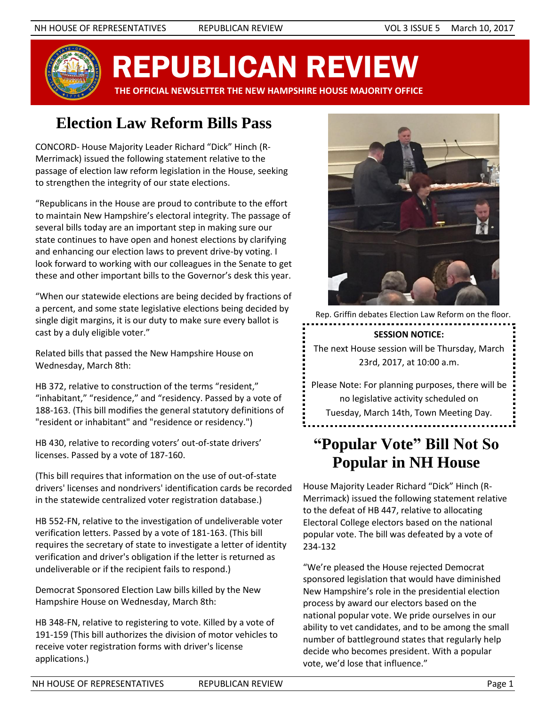

REPUBLICAN REVIEW

 **THE OFFICIAL NEWSLETTER THE NEW HAMPSHIRE HOUSE MAJORITY OFFICE**

# **Election Law Reform Bills Pass**

CONCORD- House Majority Leader Richard "Dick" Hinch (R-Merrimack) issued the following statement relative to the passage of election law reform legislation in the House, seeking to strengthen the integrity of our state elections.

"Republicans in the House are proud to contribute to the effort to maintain New Hampshire's electoral integrity. The passage of several bills today are an important step in making sure our state continues to have open and honest elections by clarifying and enhancing our election laws to prevent drive-by voting. I look forward to working with our colleagues in the Senate to get these and other important bills to the Governor's desk this year.

"When our statewide elections are being decided by fractions of a percent, and some state legislative elections being decided by single digit margins, it is our duty to make sure every ballot is cast by a duly eligible voter."

Related bills that passed the New Hampshire House on Wednesday, March 8th:

HB 372, relative to construction of the terms "resident," "inhabitant," "residence," and "residency. Passed by a vote of 188-163. (This bill modifies the general statutory definitions of "resident or inhabitant" and "residence or residency.")

HB 430, relative to recording voters' out-of-state drivers' licenses. Passed by a vote of 187-160.

(This bill requires that information on the use of out-of-state drivers' licenses and nondrivers' identification cards be recorded in the statewide centralized voter registration database.)

HB 552-FN, relative to the investigation of undeliverable voter verification letters. Passed by a vote of 181-163. (This bill requires the secretary of state to investigate a letter of identity verification and driver's obligation if the letter is returned as undeliverable or if the recipient fails to respond.)

Democrat Sponsored Election Law bills killed by the New Hampshire House on Wednesday, March 8th:

HB 348-FN, relative to registering to vote. Killed by a vote of 191-159 (This bill authorizes the division of motor vehicles to receive voter registration forms with driver's license applications.)



Rep. Griffin debates Election Law Reform on the floor.

#### **SESSION NOTICE:**

The next House session will be Thursday, March 23rd, 2017, at 10:00 a.m.

Please Note: For planning purposes, there will be no legislative activity scheduled on Tuesday, March 14th, Town Meeting Day.

# **"Popular Vote" Bill Not So Popular in NH House**

House Majority Leader Richard "Dick" Hinch (R-Merrimack) issued the following statement relative to the defeat of HB 447, relative to allocating Electoral College electors based on the national popular vote. The bill was defeated by a vote of 234-132

"We're pleased the House rejected Democrat sponsored legislation that would have diminished New Hampshire's role in the presidential election process by award our electors based on the national popular vote. We pride ourselves in our ability to vet candidates, and to be among the small number of battleground states that regularly help decide who becomes president. With a popular vote, we'd lose that influence."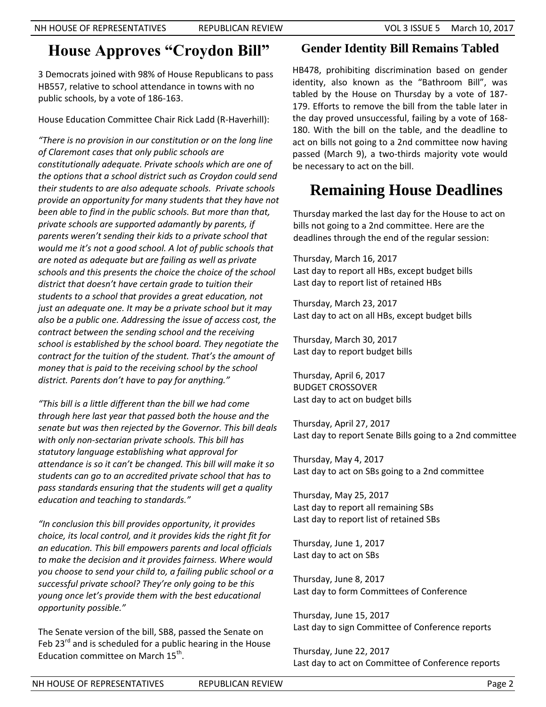### **House Approves "Croydon Bill"**

3 Democrats joined with 98% of House Republicans to pass HB557, relative to school attendance in towns with no public schools, by a vote of 186-163.

House Education Committee Chair Rick Ladd (R-Haverhill):

*"There is no provision in our constitution or on the long line of Claremont cases that only public schools are constitutionally adequate. Private schools which are one of the options that a school district such as Croydon could send their students to are also adequate schools. Private schools provide an opportunity for many students that they have not been able to find in the public schools. But more than that, private schools are supported adamantly by parents, if parents weren't sending their kids to a private school that would me it's not a good school. A lot of public schools that are noted as adequate but are failing as well as private schools and this presents the choice the choice of the school district that doesn't have certain grade to tuition their students to a school that provides a great education, not just an adequate one. It may be a private school but it may also be a public one. Addressing the issue of access cost, the contract between the sending school and the receiving school is established by the school board. They negotiate the contract for the tuition of the student. That's the amount of money that is paid to the receiving school by the school district. Parents don't have to pay for anything."*

*"This bill is a little different than the bill we had come through here last year that passed both the house and the senate but was then rejected by the Governor. This bill deals with only non-sectarian private schools. This bill has statutory language establishing what approval for attendance is so it can't be changed. This bill will make it so students can go to an accredited private school that has to pass standards ensuring that the students will get a quality education and teaching to standards."*

*"In conclusion this bill provides opportunity, it provides choice, its local control, and it provides kids the right fit for an education. This bill empowers parents and local officials to make the decision and it provides fairness. Where would you choose to send your child to, a failing public school or a successful private school? They're only going to be this young once let's provide them with the best educational opportunity possible."*

The Senate version of the bill, SB8, passed the Senate on Feb  $23^{rd}$  and is scheduled for a public hearing in the House Education committee on March 15<sup>th</sup>.

#### **Gender Identity Bill Remains Tabled**

HB478, prohibiting discrimination based on gender identity, also known as the "Bathroom Bill", was tabled by the House on Thursday by a vote of 187- 179. Efforts to remove the bill from the table later in the day proved unsuccessful, failing by a vote of 168- 180. With the bill on the table, and the deadline to act on bills not going to a 2nd committee now having passed (March 9), a two-thirds majority vote would be necessary to act on the bill.

## **Remaining House Deadlines**

Thursday marked the last day for the House to act on bills not going to a 2nd committee. Here are the deadlines through the end of the regular session:

Thursday, March 16, 2017 Last day to report all HBs, except budget bills Last day to report list of retained HBs

Thursday, March 23, 2017 Last day to act on all HBs, except budget bills

Thursday, March 30, 2017 Last day to report budget bills

Thursday, April 6, 2017 BUDGET CROSSOVER Last day to act on budget bills

Thursday, April 27, 2017 Last day to report Senate Bills going to a 2nd committee

Thursday, May 4, 2017 Last day to act on SBs going to a 2nd committee

Thursday, May 25, 2017 Last day to report all remaining SBs Last day to report list of retained SBs

Thursday, June 1, 2017 Last day to act on SBs

Thursday, June 8, 2017 Last day to form Committees of Conference

Thursday, June 15, 2017 Last day to sign Committee of Conference reports

Thursday, June 22, 2017 Last day to act on Committee of Conference reports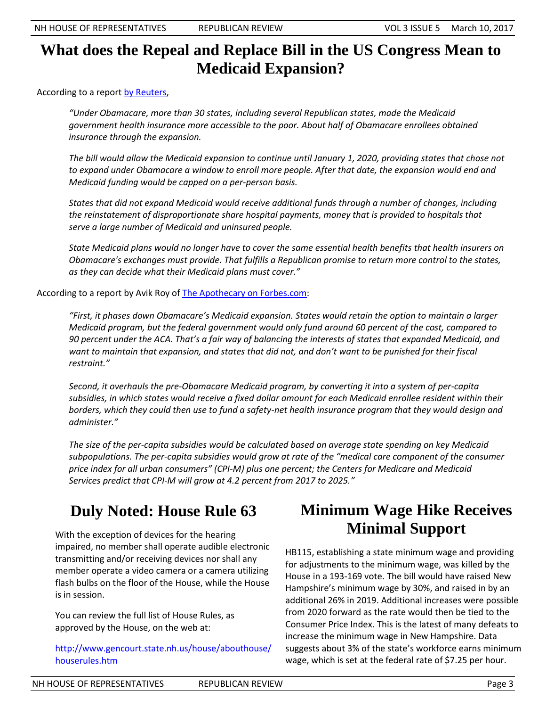### **What does the Repeal and Replace Bill in the US Congress Mean to Medicaid Expansion?**

According to a report [by Reuters,](http://www.reuters.com/article/us-usa-obamacare-factbox-idUSKBN16G288)

*"Under Obamacare, more than 30 states, including several Republican states, made the Medicaid government health insurance more accessible to the poor. About half of Obamacare enrollees obtained insurance through the expansion.*

*The bill would allow the Medicaid expansion to continue until January 1, 2020, providing states that chose not to expand under Obamacare a window to enroll more people. After that date, the expansion would end and Medicaid funding would be capped on a per-person basis.*

*States that did not expand Medicaid would receive additional funds through a number of changes, including the reinstatement of disproportionate share hospital payments, money that is provided to hospitals that serve a large number of Medicaid and uninsured people.*

*State Medicaid plans would no longer have to cover the same essential health benefits that health insurers on Obamacare's exchanges must provide. That fulfills a Republican promise to return more control to the states, as they can decide what their Medicaid plans must cover."*

According to a report by Avik Roy of **The Apothecary on Forbes.com**:

*"First, it phases down Obamacare's Medicaid expansion. States would retain the option to maintain a larger Medicaid program, but the federal government would only fund around 60 percent of the cost, compared to 90 percent under the ACA. That's a fair way of balancing the interests of states that expanded Medicaid, and want to maintain that expansion, and states that did not, and don't want to be punished for their fiscal restraint."*

*Second, it overhauls the pre-Obamacare Medicaid program, by converting it into a system of per-capita subsidies, in which states would receive a fixed dollar amount for each Medicaid enrollee resident within their borders, which they could then use to fund a safety-net health insurance program that they would design and administer."*

*The size of the per-capita subsidies would be calculated based on average state spending on key Medicaid subpopulations. The per-capita subsidies would grow at rate of the "medical care component of the consumer price index for all urban consumers" (CPI-M) plus one percent; the Centers for Medicare and Medicaid Services predict that CPI-M will grow at 4.2 percent from 2017 to 2025."*

# **Duly Noted: House Rule 63**

With the exception of devices for the hearing impaired, no member shall operate audible electronic transmitting and/or receiving devices nor shall any member operate a video camera or a camera utilizing flash bulbs on the floor of the House, while the House is in session.

You can review the full list of House Rules, as approved by the House, on the web at:

[http://www.gencourt.state.nh.us/house/abouthouse/](http://www.gencourt.state.nh.us/house/abouthouse/houserules.htm) [houserules.htm](http://www.gencourt.state.nh.us/house/abouthouse/houserules.htm)

## **Minimum Wage Hike Receives Minimal Support**

HB115, establishing a state minimum wage and providing for adjustments to the minimum wage, was killed by the House in a 193-169 vote. The bill would have raised New Hampshire's minimum wage by 30%, and raised in by an additional 26% in 2019. Additional increases were possible from 2020 forward as the rate would then be tied to the Consumer Price Index. This is the latest of many defeats to increase the minimum wage in New Hampshire. Data suggests about 3% of the state's workforce earns minimum wage, which is set at the federal rate of \$7.25 per hour.